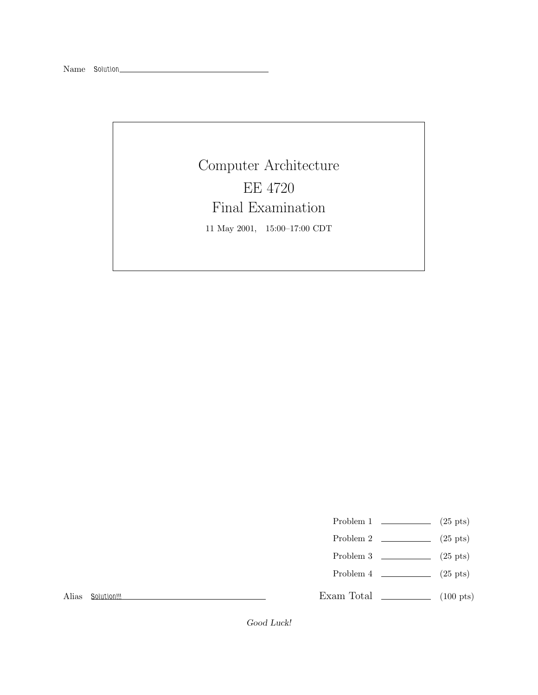Computer Architecture EE 4720 Final Examination 11 May 2001, 15:00–17:00 CDT

- Problem 1  $\qquad \qquad (25 \text{ pts})$
- Problem 2  $\qquad \qquad$  (25 pts)
- Problem 3  $\qquad \qquad$  (25 pts)
- Problem 4  $\qquad \qquad (25 \text{ pts})$

Alias *Solution!!!*

Exam Total \_\_\_\_\_\_\_\_\_\_\_\_\_ (100 pts)

*Good Luck!*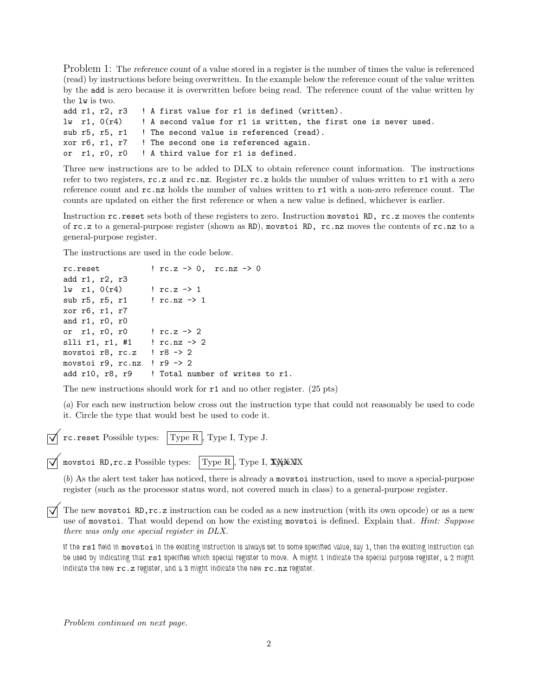Problem 1: The *reference count* of a value stored in a register is the number of times the value is referenced (read) by instructions before being overwritten. In the example below the reference count of the value written by the add is zero because it is overwritten before being read. The reference count of the value written by the lw is two.

|  | add r1, r2, r3 ! A first value for r1 is defined (written).                                        |
|--|----------------------------------------------------------------------------------------------------|
|  | $\mathbf{u}$ r1, $0(\mathbf{r}4)$ ! A second value for r1 is written, the first one is never used. |
|  | sub r5, r5, r1  ! The second value is referenced (read).                                           |
|  | xor r6, r1, r7 ! The second one is referenced again.                                               |
|  | or r1, r0, r0 ! A third value for r1 is defined.                                                   |

Three new instructions are to be added to DLX to obtain reference count information. The instructions refer to two registers,  $rc.z$  and  $rc.nz$ . Register  $rc.z$  holds the number of values written to r1 with a zero reference count and rc.nz holds the number of values written to r1 with a non-zero reference count. The counts are updated on either the first reference or when a new value is defined, whichever is earlier.

Instruction rc.reset sets both of these registers to zero. Instruction movstoi RD, rc.z moves the contents of rc.z to a general-purpose register (shown as RD), movstoi RD, rc.nz moves the contents of rc.nz to a general-purpose register.

The instructions are used in the code below.

```
rc.reset \qquad \qquad \qquad \qquad \qquad \qquad \qquad \qquad \qquad \qquad \qquad \qquad \qquad \qquad \qquad \qquad \qquad \qquad \qquad \qquad \qquad \qquad \qquad \qquad \qquad \qquad \qquad \qquad \qquad \qquad \qquad \qquad \qquad \qquad \qquad \qquadadd r1, r2, r3
lw r1, 0(r4) ! rc. z -> 1
sub r5, r5, r1 ! rc.nz -> 1
xor r6, r1, r7
and r1, r0, r0
or r1, r0, r0 ! rc.z -> 2
slli r1, r1, #1 ! rc.nz -> 2
movstoi r8, rc.z ! r8 -> 2
movstoi r9, rc.nz ! r9 \rightarrow 2add r10, r8, r9 | Total number of writes to r1.
```
The new instructions should work for r1 and no other register. (25 pts)

(*a*) For each new instruction below cross out the instruction type that could not reasonably be used to code it. Circle the type that would best be used to code it.

 $\vec{\triangledown}$  rc.reset Possible types: Type R, Type I, Type J.

 $\sqrt{\ }$  movstoi RD,rc.z Possible types: Type R , Type I, XXXXX

(*b*) As the alert test taker has noticed, there is already a movstoi instruction, used to move a special-purpose register (such as the processor status word, not covered much in class) to a general-purpose register.

 $\overline{\bigvee}$  The new movstoi RD,rc.z instruction can be coded as a new instruction (with its own opcode) or as a new use of movstoi. That would depend on how the existing movstoi is defined. Explain that. *Hint: Suppose there was only one special register in DLX.*

*If the* rs1 *field in* movstoi *in the existing instruction is always set to some specified value, say 1, then the existing instruction can be used by indicating that* rs1 *specifies which special register to move. A might 1 indicate the special purpose register, a 2 might indicate the new* rc.z *register, and a 3 might indicate the new* rc.nz *register.*

*Problem continued on next page.*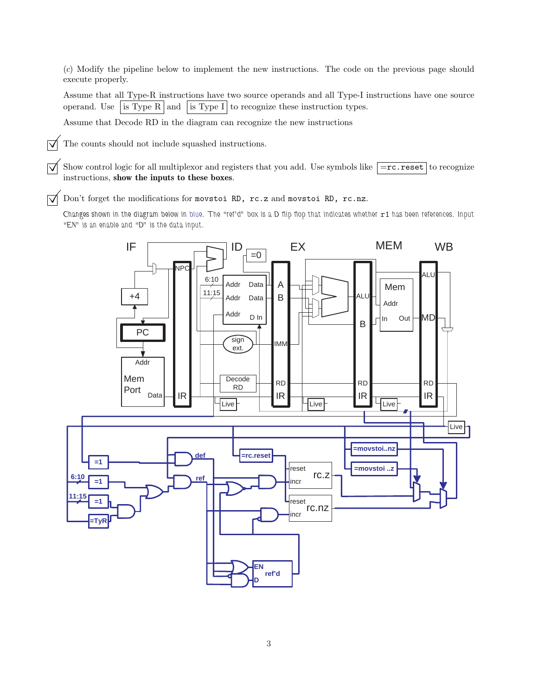(*c*) Modify the pipeline below to implement the new instructions. The code on the previous page should execute properly.

Assume that all Type-R instructions have two source operands and all Type-I instructions have one source operand. Use is Type R and is Type I to recognize these instruction types.

Assume that Decode RD in the diagram can recognize the new instructions

 $\triangledown$  The counts should not include squashed instructions.

 $\overline{\bigtriangledown}$  Show control logic for all multiplexor and registers that you add. Use symbols like  $\overline{=}r$ c.reset to recognize instructions, **show the inputs to these boxes**.

 $\overrightarrow{\mathsf{Q}}$  Don't forget the modifications for movstoi RD, rc.z and movstoi RD, rc.nz.

*Changes shown in the diagram below in blue. The "ref'd" box is a D flip flop that indicates whether* r1 *has been references. Input "EN" is an enable and "D" is the data input.*

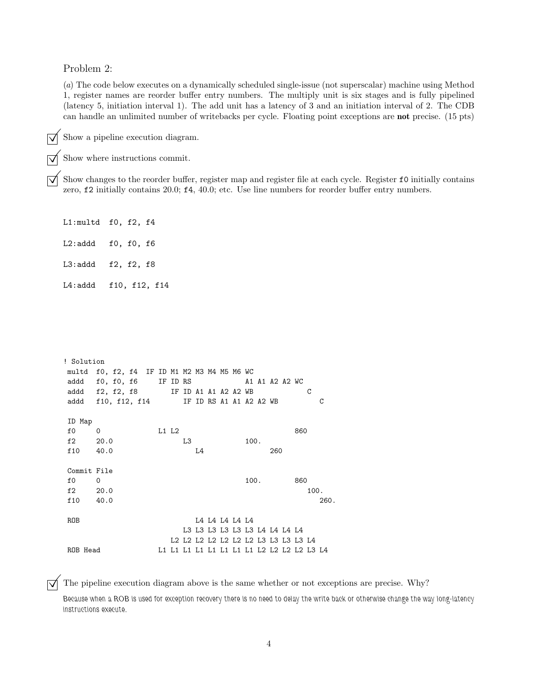Problem 2:

(*a*) The code below executes on a dynamically scheduled single-issue (not superscalar) machine using Method 1, register names are reorder buffer entry numbers. The multiply unit is six stages and is fully pipelined (latency 5, initiation interval 1). The add unit has a latency of 3 and an initiation interval of 2. The CDB can handle an unlimited number of writebacks per cycle. Floating point exceptions are **not** precise. (15 pts)

 $\overrightarrow{\bigtriangledown}$  Show a pipeline execution diagram.

Show where instructions commit.<br>Show changes to the reorder buffer, register map and register file at each cycle. Register  $f0$  initially contains  $\overline{\bigvee}$  Show changes to the reorder buffer, register map and register file at each cycle. Register **f0** initially contains zero, **f2** initially contains 20.0; **f4**, 40.0; etc. Use line numbers for reorder buffer entry

L1:multd f0, f2, f4 L2:addd f0, f0, f6

L3:addd f2, f2, f8

L4:addd f10, f12, f14

| ! Solution  |                                             |       |  |    |    |  |                |  |      |  |                                                                            |                                     |      |
|-------------|---------------------------------------------|-------|--|----|----|--|----------------|--|------|--|----------------------------------------------------------------------------|-------------------------------------|------|
|             | multd f0, f2, f4 IF ID M1 M2 M3 M4 M5 M6 WC |       |  |    |    |  |                |  |      |  |                                                                            |                                     |      |
|             | addd f0, f0, f6 IF ID RS                    |       |  |    |    |  |                |  |      |  | A1 A1 A2 A2 WC                                                             |                                     |      |
|             | addd f2, f2, f8 IF ID A1 A1 A2 A2 WB        |       |  |    |    |  |                |  |      |  |                                                                            | C                                   |      |
|             | addd f10, f12, f14 IF ID RS A1 A1 A2 A2 WB  |       |  |    |    |  |                |  |      |  |                                                                            |                                     | С    |
|             |                                             |       |  |    |    |  |                |  |      |  |                                                                            |                                     |      |
| ID Map      |                                             |       |  |    |    |  |                |  |      |  |                                                                            |                                     |      |
| f0          | $\Omega$                                    | L1 L2 |  |    |    |  |                |  |      |  |                                                                            | 860                                 |      |
| $f2 \t20.0$ |                                             |       |  | L3 |    |  |                |  | 100. |  |                                                                            |                                     |      |
| f 10        | 40.0                                        |       |  |    | L4 |  |                |  |      |  | 260                                                                        |                                     |      |
|             |                                             |       |  |    |    |  |                |  |      |  |                                                                            |                                     |      |
| Commit File |                                             |       |  |    |    |  |                |  |      |  |                                                                            |                                     |      |
| $f_{0}$     | $\Omega$                                    |       |  |    |    |  |                |  | 100. |  |                                                                            | 860                                 |      |
| $f2 \t20.0$ |                                             |       |  |    |    |  |                |  |      |  |                                                                            | 100.                                |      |
| f10         | 40.0                                        |       |  |    |    |  |                |  |      |  |                                                                            |                                     | 260. |
|             |                                             |       |  |    |    |  |                |  |      |  |                                                                            |                                     |      |
| <b>ROB</b>  |                                             |       |  |    |    |  | L4 L4 L4 L4 L4 |  |      |  |                                                                            |                                     |      |
|             |                                             |       |  |    |    |  |                |  |      |  | L3 L3 L3 L3 L3 L3 L4 L4 L4 L4                                              |                                     |      |
|             |                                             |       |  |    |    |  |                |  |      |  |                                                                            | L2 L2 L2 L2 L2 L2 L2 L3 L3 L3 L3 L4 |      |
| ROB Head    |                                             |       |  |    |    |  |                |  |      |  | L1    L1    L1    L1    L1    L1    L1    L2    L2    L2    L2    L3    L4 |                                     |      |

 $\overrightarrow{\mathbf{q}}$  The pipeline execution diagram above is the same whether or not exceptions are precise. Why?

*Because when a ROB is used for exception recovery there is no need to delay the write back or otherwise change the way long-latency instructions execute.*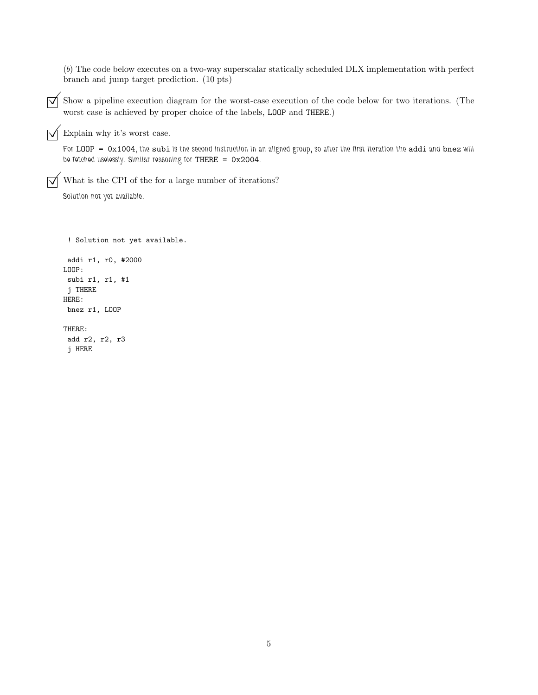(*b*) The code below executes on a two-way superscalar statically scheduled DLX implementation with perfect branch and jump target prediction. (10 pts)

 $\overline{\vee}$  Show a pipeline execution diagram for the worst-case execution of the code below for two iterations. (The worst case is achieved by proper choice of the labels, LOOP and THERE.)

 $\sqrt{\phantom{a}}$  Explain why it's worst case.

*For* LOOP = 0x1004*, the* subi *is the second instruction in an aligned group, so after the first iteration the* addi *and* bnez *will be fetched uselessly. Similar reasoning for* THERE = 0x2004*.*

 $\overrightarrow{\mathsf{Q}}$  What is the CPI of the for a large number of iterations?

*Solution not yet available.*

```
! Solution not yet available.
addi r1, r0, #2000
LOOP:
subi r1, r1, #1
j THERE
HERE:
bnez r1, LOOP
THERE:
add r2, r2, r3
j HERE
```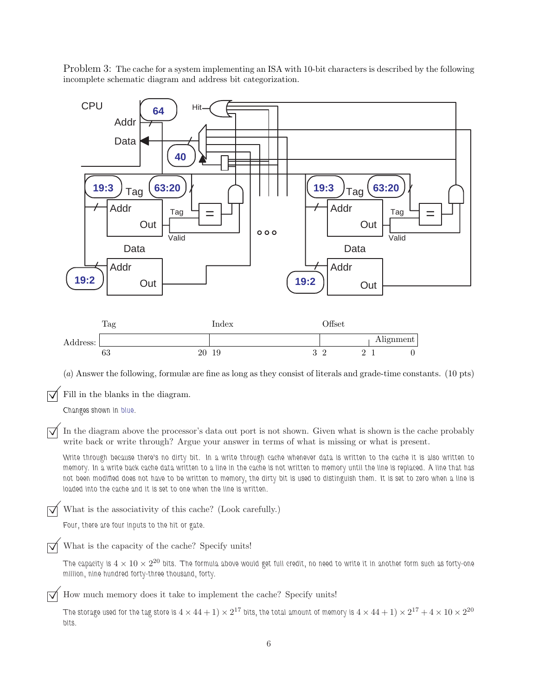Problem 3: The cache for a system implementing an ISA with 10-bit characters is described by the following incomplete schematic diagram and address bit categorization.

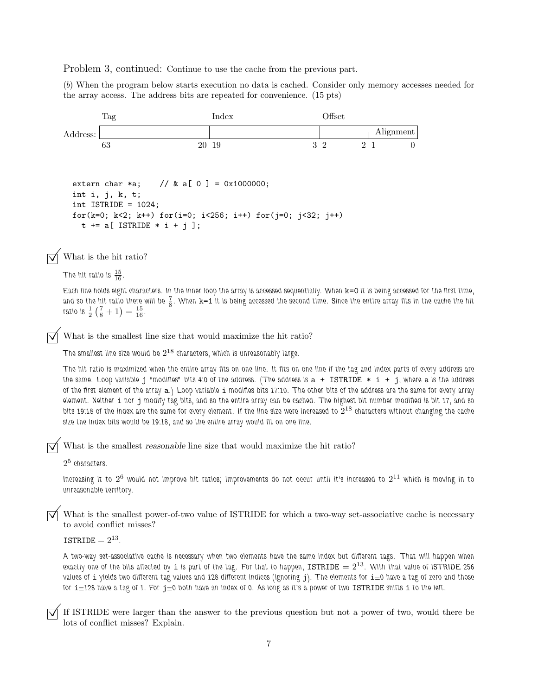Problem 3, continued: Continue to use the cache from the previous part.

(*b*) When the program below starts execution no data is cached. Consider only memory accesses needed for the array access. The address bits are repeated for convenience. (15 pts)



*The hit ratio is maximized when the entire array fits on one line. It fits on one line if the tag and index parts of every address are the same. Loop variable* j *"modifies" bits 4:0 of the address. (The address is* a + ISTRIDE \* i + j*, where* a *is the address of the first element of the array* a*.) Loop variable* i *modifies bits 17:10. The other bits of the address are the same for every array element. Neither* i *nor* j *modify tag bits, and so the entire array can be cached. The highest bit number modified is bit 17, and so bits 19:18 of the index are the same for every element. If the line size were increased to* 2<sup>18</sup> *characters without changing the cache size the index bits would be 19:18, and so the entire array would fit on one line.*

©What is the smallest *reasonable* line size that would maximize the hit ratio?

2<sup>5</sup> *characters.*

*Increasing it to* 2<sup>6</sup> *would not improve hit ratios; improvements do not occur until it's increased to* 2<sup>11</sup> *which is moving in to unreasonable territory.*

What is the smallest power-of-two value of ISTRIDE for which a two-way set-associative cache is necessary to avoid conflict misses?

## ISTRIDE  $= 2^{13}$ .

*A two-way set-associative cache is necessary when two elements have the same index but different tags. That will happen when exactly one of the bits affected by i is part of the tag. For that to happen, ISTRIDE*  $= 2^{13}$ . With that value of ISTRIDE 256 *values of* i *yields two different tag values and 128 different indices (ignoring* j*). The elements for* i*=0 have a tag of zero and those for* i*=128 have a tag of 1. For* j*=0 both have an index of 0. As long as it's a power of two* ISTRIDE *shifts* i *to the left.*

If ISTRIDE were larger than the answer to the previous question but not a power of two, would there be lots of conflict misses? Explain.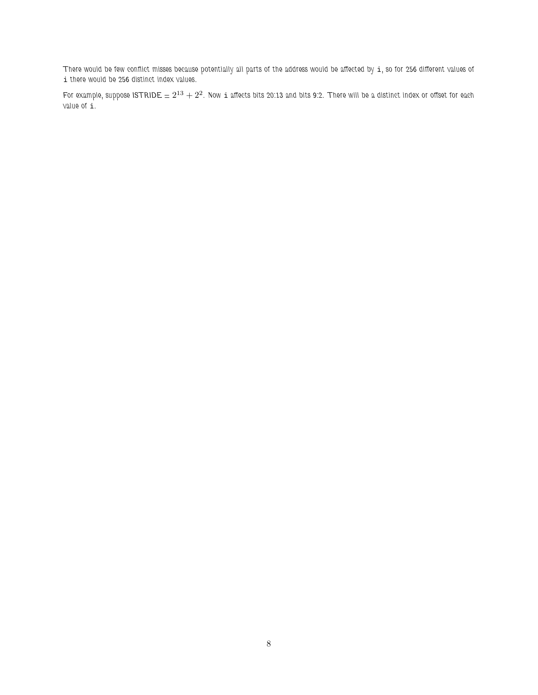*There would be few conflict misses because potentially all parts of the address would be affected by* i*, so for 256 different values of* i *there would be 256 distinct index values.*

*For example, suppose ISTRIDE* =  $2^{13} + 2^2$ . Now i affects bits 20:13 and bits 9:2. There will be a distinct index or offset for each *value of* i*.*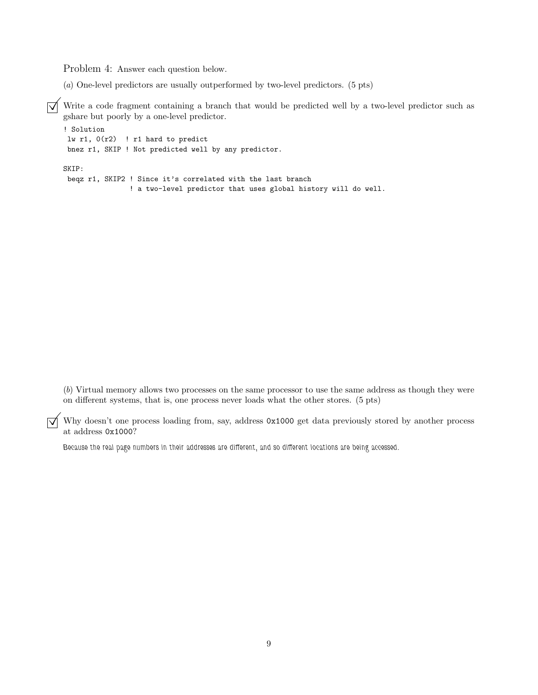Problem 4: Answer each question below.

(*a*) One-level predictors are usually outperformed by two-level predictors. (5 pts)

 $\overline{\bigvee}$  Write a code fragment containing a branch that would be predicted well by a two-level predictor such as gshare but poorly by a one-level predictor.

```
! Solution
lw r1, 0(r2) ! r1 hard to predict
bnez r1, SKIP ! Not predicted well by any predictor.
SKIP:
beqz r1, SKIP2 ! Since it's correlated with the last branch
                ! a two-level predictor that uses global history will do well.
```
(*b*) Virtual memory allows two processes on the same processor to use the same address as though they were on different systems, that is, one process never loads what the other stores. (5 pts)

 $\overline{\bigvee}$  Why doesn't one process loading from, say, address 0x1000 get data previously stored by another process at address 0x1000?

*Because the real page numbers in their addresses are different, and so different locations are being accessed.*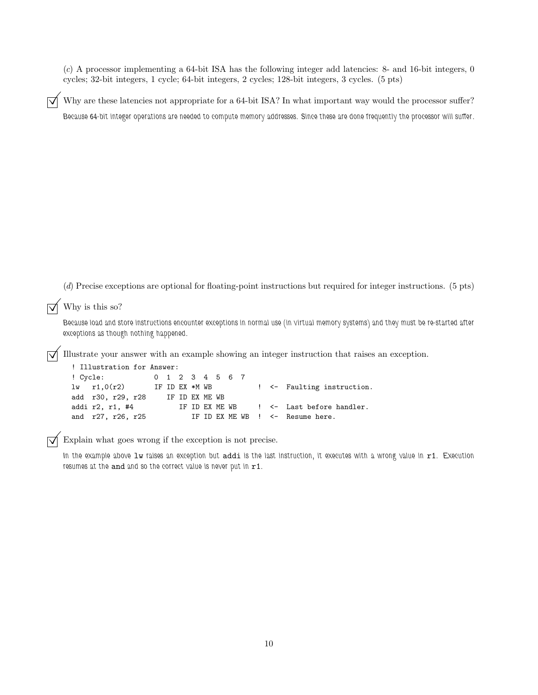(*c*) A processor implementing a 64-bit ISA has the following integer add latencies: 8- and 16-bit integers, 0 cycles; 32-bit integers, 1 cycle; 64-bit integers, 2 cycles; 128-bit integers, 3 cycles. (5 pts)

Why are these latencies not appropriate for a 64-bit ISA? In what important way would the processor suffer? *Because 64-bit integer operations are needed to compute memory addresses. Since these are done frequently the processor will suffer.*

(*d*) Precise exceptions are optional for floating-point instructions but required for integer instructions. (5 pts)

 $\overline{\bigtriangledown}$  Why is this so?

*Because load and store instructions encounter exceptions in normal use (in virtual memory systems) and they must be re-started after exceptions as though nothing happened.*

©Illustrate your answer with an example showing an integer instruction that raises an exception.

```
! Illustration for Answer:
! Cycle: 01234567
lw r1,0(r2) IF ID EX *M WB ! <- Faulting instruction.
add r30, r29, r28 IF ID EX ME WB
addi r2, r1, #4 IF ID EX ME WB ! <- Last before handler.
and r27, r26, r25 IF ID EX ME WB ! <- Resume here.
```
 $\triangledown$  Explain what goes wrong if the exception is not precise.

*In the example above* lw *raises an exception but* addi *is the last instruction, it executes with a wrong value in* r1*. Execution resumes at the* and *and so the correct value is never put in* r1*.*